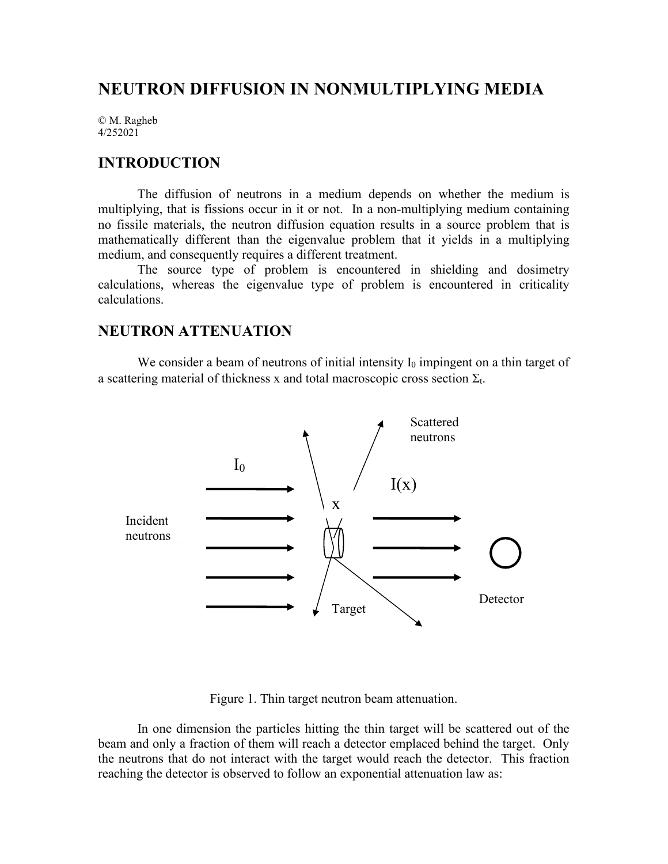# **NEUTRON DIFFUSION IN NONMULTIPLYING MEDIA**

© M. Ragheb 4/252021

### **INTRODUCTION**

The diffusion of neutrons in a medium depends on whether the medium is multiplying, that is fissions occur in it or not. In a non-multiplying medium containing no fissile materials, the neutron diffusion equation results in a source problem that is mathematically different than the eigenvalue problem that it yields in a multiplying medium, and consequently requires a different treatment.

The source type of problem is encountered in shielding and dosimetry calculations, whereas the eigenvalue type of problem is encountered in criticality calculations.

## **NEUTRON ATTENUATION**

We consider a beam of neutrons of initial intensity  $I_0$  impingent on a thin target of a scattering material of thickness x and total macroscopic cross section  $\Sigma_t$ .



Figure 1. Thin target neutron beam attenuation.

In one dimension the particles hitting the thin target will be scattered out of the beam and only a fraction of them will reach a detector emplaced behind the target. Only the neutrons that do not interact with the target would reach the detector. This fraction reaching the detector is observed to follow an exponential attenuation law as: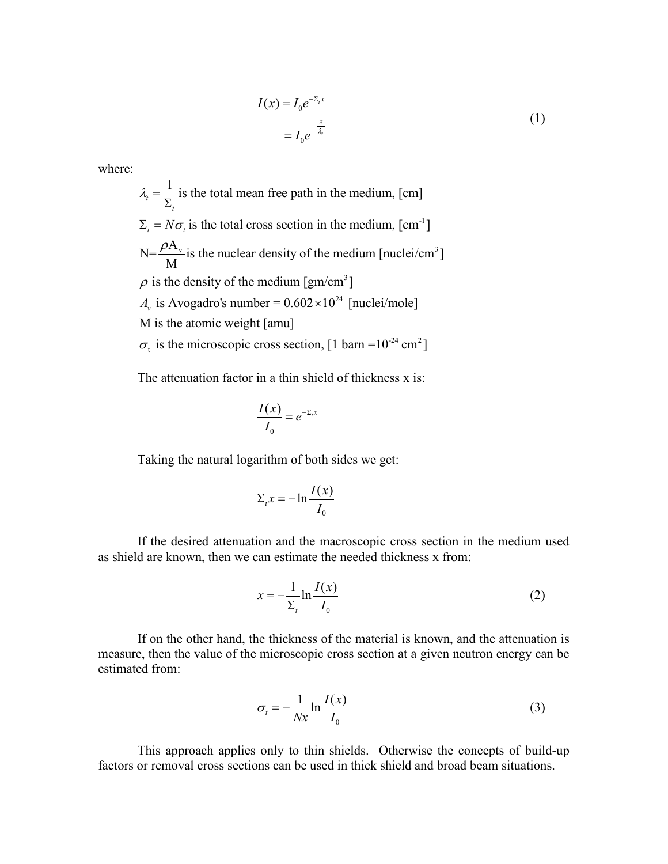$$
I(x) = I_0 e^{-\Sigma_t x}
$$
  
= 
$$
I_0 e^{-\frac{x}{\lambda_t}}
$$
 (1)

where:

$$
\lambda_t = \frac{1}{\Sigma_t}
$$
 is the total mean free path in the medium, [cm]  

$$
\Sigma_t = N\sigma_t
$$
 is the total cross section in the medium, [cm<sup>-1</sup>]  

$$
N = \frac{\rho A_v}{M}
$$
 is the nuclear density of the medium [nuclei/cm<sup>3</sup>]  
 $\rho$  is the density of the medium [gm/cm<sup>3</sup>]  
 $A_v$  is Avogadro's number = 0.602×10<sup>24</sup> [nuclei/mole]  
M is the atomic weight [amu]  
 $\sigma_t$  is the microscopic cross section, [1 barn =10<sup>-24</sup> cm<sup>2</sup>]

The attenuation factor in a thin shield of thickness x is:

$$
\frac{I(x)}{I_0}=e^{-\Sigma_t x}
$$

Taking the natural logarithm of both sides we get:

$$
\Sigma_t x = -\ln \frac{I(x)}{I_0}
$$

If the desired attenuation and the macroscopic cross section in the medium used as shield are known, then we can estimate the needed thickness x from:

$$
x = -\frac{1}{\sum_{t}} \ln \frac{I(x)}{I_0} \tag{2}
$$

If on the other hand, the thickness of the material is known, and the attenuation is measure, then the value of the microscopic cross section at a given neutron energy can be estimated from:

$$
\sigma_t = -\frac{1}{Nx} \ln \frac{I(x)}{I_0} \tag{3}
$$

This approach applies only to thin shields. Otherwise the concepts of build-up factors or removal cross sections can be used in thick shield and broad beam situations.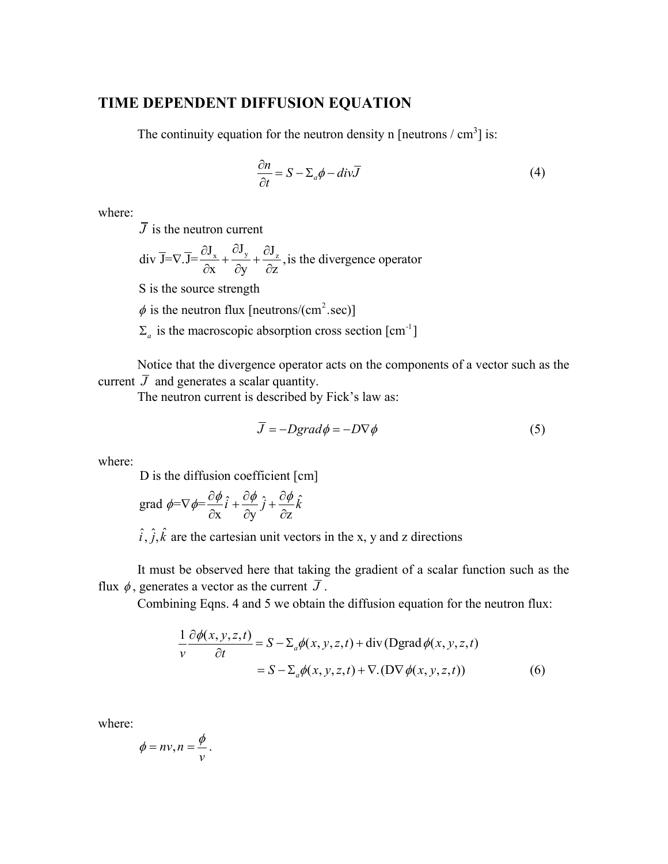### **TIME DEPENDENT DIFFUSION EQUATION**

The continuity equation for the neutron density n [neutrons  $\text{/ cm}^3$ ] is:

$$
\frac{\partial n}{\partial t} = S - \Sigma_a \phi - div \overline{J}
$$
 (4)

where:

*J* is the neutron current

div 
$$
\overline{J} = \nabla \cdot \overline{J} = \frac{\partial J_x}{\partial x} + \frac{\partial J_y}{\partial y} + \frac{\partial J_z}{\partial z}
$$
, is the divergence operator

S is the source strength

 $\phi$  is the neutron flux [neutrons/(cm<sup>2</sup>.sec)]

 $\Sigma_a$  is the macroscopic absorption cross section  $\text{[cm}^{-1}\text{]}$ 

Notice that the divergence operator acts on the components of a vector such as the current  $\bar{J}$  and generates a scalar quantity.

The neutron current is described by Fick's law as:

$$
\overline{J} = -Dgrad\phi = -D\nabla\phi\tag{5}
$$

where:

D is the diffusion coefficient [cm]

grad 
$$
\phi = \nabla \phi = \frac{\partial \phi}{\partial x} \hat{i} + \frac{\partial \phi}{\partial y} \hat{j} + \frac{\partial \phi}{\partial z} \hat{k}
$$

$$
\hat{i}
$$
,  $\hat{j}$ ,  $\hat{k}$  are the cartesian unit vectors in the x, y and z directions

It must be observed here that taking the gradient of a scalar function such as the flux  $\phi$ , generates a vector as the current  $\overline{J}$ .

Combining Eqns. 4 and 5 we obtain the diffusion equation for the neutron flux:

$$
\frac{1}{v}\frac{\partial \phi(x, y, z, t)}{\partial t} = S - \Sigma_a \phi(x, y, z, t) + \text{div} (\text{Dgrad}\,\phi(x, y, z, t))
$$

$$
= S - \Sigma_a \phi(x, y, z, t) + \nabla \cdot (\text{D} \nabla \phi(x, y, z, t))
$$
(6)

where:

$$
\phi = nv, n = \frac{\phi}{v}.
$$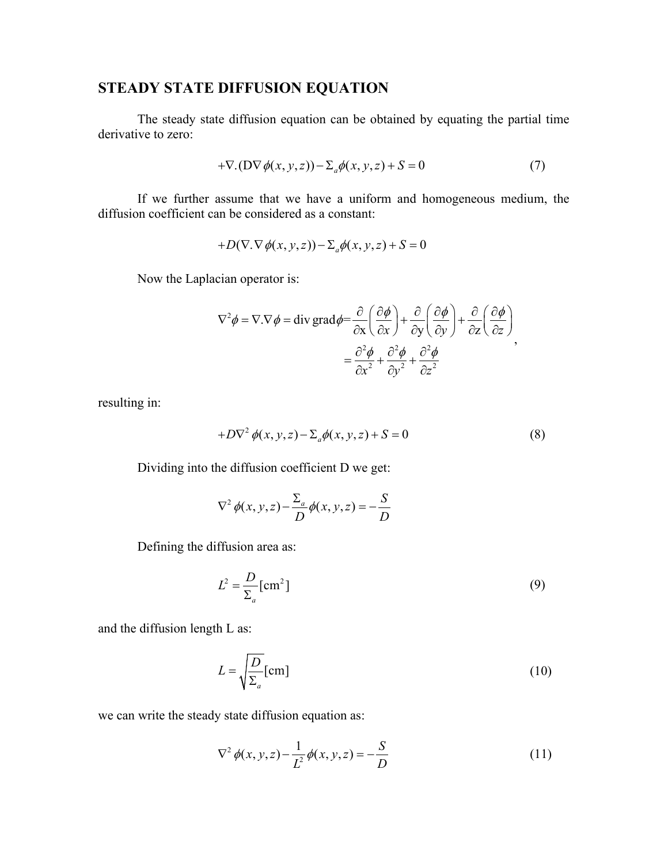# **STEADY STATE DIFFUSION EQUATION**

The steady state diffusion equation can be obtained by equating the partial time derivative to zero:

$$
+\nabla.(D\nabla\phi(x,y,z)) - \Sigma_a \phi(x,y,z) + S = 0
$$
\n(7)

If we further assume that we have a uniform and homogeneous medium, the diffusion coefficient can be considered as a constant:

$$
+D(\nabla.\nabla\phi(x,y,z))-\Sigma_a\phi(x,y,z)+S=0
$$

Now the Laplacian operator is:

$$
\nabla^2 \phi = \nabla \cdot \nabla \phi = \text{div } \text{grad } \phi = \frac{\partial}{\partial x} \left( \frac{\partial \phi}{\partial x} \right) + \frac{\partial}{\partial y} \left( \frac{\partial \phi}{\partial y} \right) + \frac{\partial}{\partial z} \left( \frac{\partial \phi}{\partial z} \right) = \frac{\partial^2 \phi}{\partial x^2} + \frac{\partial^2 \phi}{\partial y^2} + \frac{\partial^2 \phi}{\partial z^2}
$$

resulting in:

$$
+D\nabla^2 \phi(x, y, z) - \Sigma_a \phi(x, y, z) + S = 0
$$
\n(8)

Dividing into the diffusion coefficient D we get:

$$
\nabla^2 \phi(x, y, z) - \frac{\Sigma_a}{D} \phi(x, y, z) = -\frac{S}{D}
$$

Defining the diffusion area as:

$$
L^2 = \frac{D}{\Sigma_a} \text{[cm}^2 \text{]}
$$
 (9)

and the diffusion length L as:

$$
L = \sqrt{\frac{D}{\Sigma_a}} \text{[cm]}
$$
 (10)

we can write the steady state diffusion equation as:

$$
\nabla^2 \phi(x, y, z) - \frac{1}{L^2} \phi(x, y, z) = -\frac{S}{D}
$$
 (11)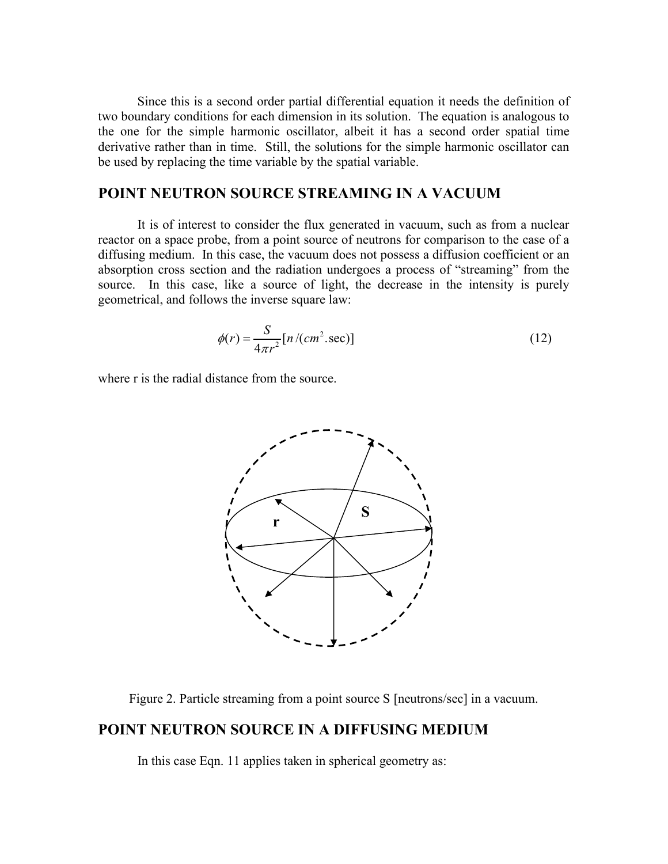Since this is a second order partial differential equation it needs the definition of two boundary conditions for each dimension in its solution. The equation is analogous to the one for the simple harmonic oscillator, albeit it has a second order spatial time derivative rather than in time. Still, the solutions for the simple harmonic oscillator can be used by replacing the time variable by the spatial variable.

## **POINT NEUTRON SOURCE STREAMING IN A VACUUM**

It is of interest to consider the flux generated in vacuum, such as from a nuclear reactor on a space probe, from a point source of neutrons for comparison to the case of a diffusing medium. In this case, the vacuum does not possess a diffusion coefficient or an absorption cross section and the radiation undergoes a process of "streaming" from the source. In this case, like a source of light, the decrease in the intensity is purely geometrical, and follows the inverse square law:

$$
\phi(r) = \frac{S}{4\pi r^2} [n/(cm^2 \text{ sec})]
$$
\n(12)

where r is the radial distance from the source.



Figure 2. Particle streaming from a point source S [neutrons/sec] in a vacuum.

#### **POINT NEUTRON SOURCE IN A DIFFUSING MEDIUM**

In this case Eqn. 11 applies taken in spherical geometry as: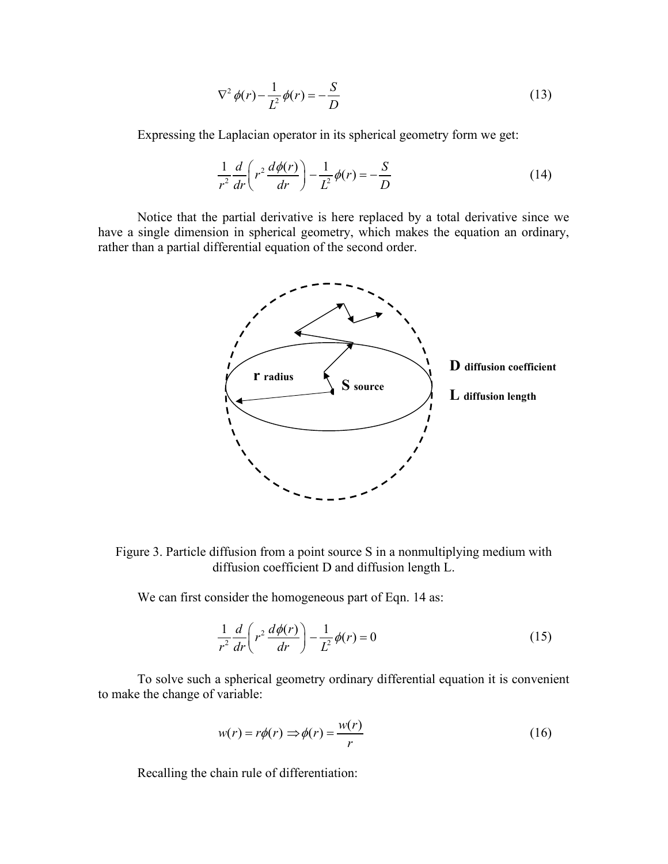$$
\nabla^2 \phi(r) - \frac{1}{L^2} \phi(r) = -\frac{S}{D}
$$
 (13)

Expressing the Laplacian operator in its spherical geometry form we get:

$$
\frac{1}{r^2}\frac{d}{dr}\left(r^2\frac{d\phi(r)}{dr}\right) - \frac{1}{L^2}\phi(r) = -\frac{S}{D}
$$
\n(14)

Notice that the partial derivative is here replaced by a total derivative since we have a single dimension in spherical geometry, which makes the equation an ordinary, rather than a partial differential equation of the second order.



Figure 3. Particle diffusion from a point source S in a nonmultiplying medium with diffusion coefficient D and diffusion length L.

We can first consider the homogeneous part of Eqn. 14 as:

$$
\frac{1}{r^2}\frac{d}{dr}\left(r^2\frac{d\phi(r)}{dr}\right) - \frac{1}{L^2}\phi(r) = 0\tag{15}
$$

To solve such a spherical geometry ordinary differential equation it is convenient to make the change of variable:

$$
w(r) = r\phi(r) \Rightarrow \phi(r) = \frac{w(r)}{r}
$$
 (16)

Recalling the chain rule of differentiation: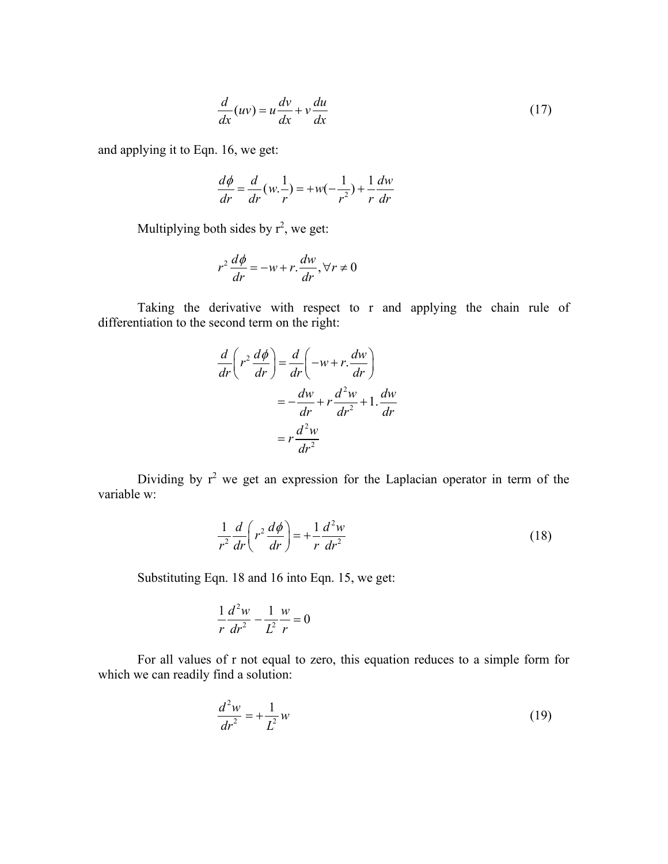$$
\frac{d}{dx}(uv) = u\frac{dv}{dx} + v\frac{du}{dx}
$$
\n(17)

and applying it to Eqn. 16, we get:

$$
\frac{d\phi}{dr} = \frac{d}{dr}(w.\frac{1}{r}) = +w(-\frac{1}{r^2}) + \frac{1}{r}\frac{dw}{dr}
$$

Multiplying both sides by  $r^2$ , we get:

$$
r^{2} \frac{d\phi}{dr} = -w + r \frac{dw}{dr}, \forall r \neq 0
$$

Taking the derivative with respect to r and applying the chain rule of differentiation to the second term on the right:

$$
\frac{d}{dr}\left(r^2\frac{d\phi}{dr}\right) = \frac{d}{dr}\left(-w+r\frac{dw}{dr}\right)
$$

$$
= -\frac{dw}{dr} + r\frac{d^2w}{dr^2} + 1\frac{dw}{dr}
$$

$$
= r\frac{d^2w}{dr^2}
$$

Dividing by  $r^2$  we get an expression for the Laplacian operator in term of the variable w:

$$
\frac{1}{r^2}\frac{d}{dr}\left(r^2\frac{d\phi}{dr}\right) = +\frac{1}{r}\frac{d^2w}{dr^2}
$$
\n(18)

Substituting Eqn. 18 and 16 into Eqn. 15, we get:

$$
\frac{1}{r}\frac{d^2w}{dr^2} - \frac{1}{L^2}\frac{w}{r} = 0
$$

For all values of r not equal to zero, this equation reduces to a simple form for which we can readily find a solution:

$$
\frac{d^2w}{dr^2} = +\frac{1}{L^2}w\tag{19}
$$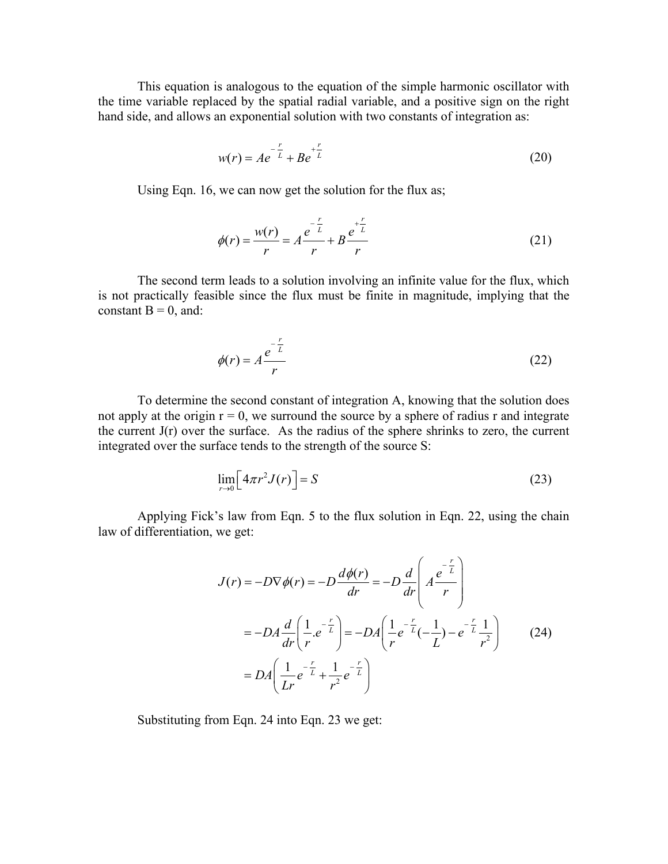This equation is analogous to the equation of the simple harmonic oscillator with the time variable replaced by the spatial radial variable, and a positive sign on the right hand side, and allows an exponential solution with two constants of integration as:

$$
w(r) = Ae^{-\frac{r}{L}} + Be^{+\frac{r}{L}}
$$
 (20)

Using Eqn. 16, we can now get the solution for the flux as;

$$
\phi(r) = \frac{w(r)}{r} = A \frac{e^{-\frac{r}{L}}}{r} + B \frac{e^{+\frac{r}{L}}}{r}
$$
(21)

The second term leads to a solution involving an infinite value for the flux, which is not practically feasible since the flux must be finite in magnitude, implying that the constant  $B = 0$ , and:

$$
\phi(r) = A \frac{e^{-\frac{r}{L}}}{r}
$$
 (22)

To determine the second constant of integration A, knowing that the solution does not apply at the origin  $r = 0$ , we surround the source by a sphere of radius r and integrate the current  $J(r)$  over the surface. As the radius of the sphere shrinks to zero, the current integrated over the surface tends to the strength of the source S:

$$
\lim_{r \to 0} \left[ 4\pi r^2 J(r) \right] = S \tag{23}
$$

Applying Fick's law from Eqn. 5 to the flux solution in Eqn. 22, using the chain law of differentiation, we get:

$$
J(r) = -D\nabla\phi(r) = -D\frac{d\phi(r)}{dr} = -D\frac{d}{dr}\left(A\frac{e^{-\frac{r}{L}}}{r}\right)
$$
  

$$
= -DA\frac{d}{dr}\left(\frac{1}{r}e^{-\frac{r}{L}}\right) = -DA\left(\frac{1}{r}e^{-\frac{r}{L}}(-\frac{1}{L}) - e^{-\frac{r}{L}}\frac{1}{r^2}\right)
$$
(24)  

$$
= DA\left(\frac{1}{Lr}e^{-\frac{r}{L}} + \frac{1}{r^2}e^{-\frac{r}{L}}\right)
$$

Substituting from Eqn. 24 into Eqn. 23 we get: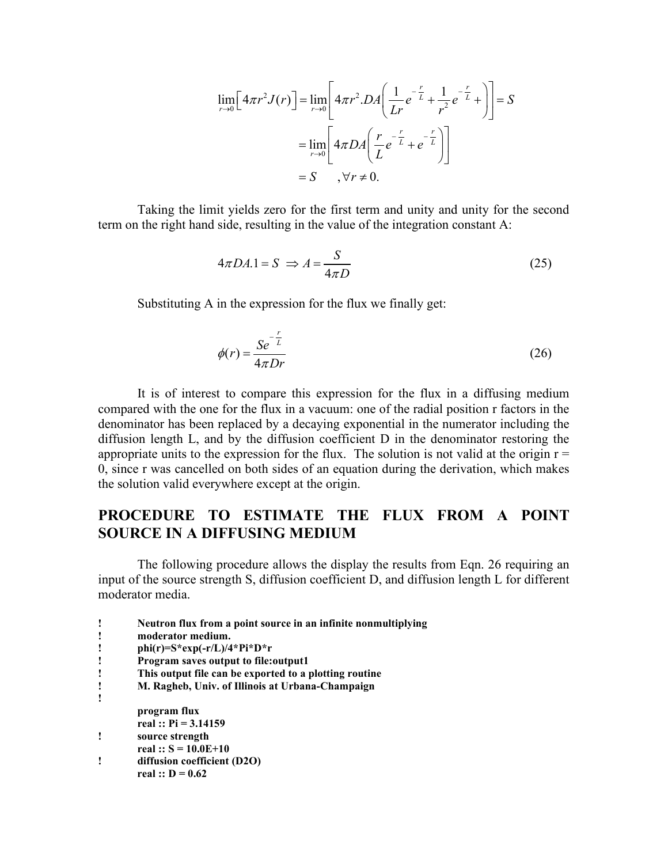$$
\lim_{r \to 0} \left[ 4\pi r^2 J(r) \right] = \lim_{r \to 0} \left[ 4\pi r^2 D A \left( \frac{1}{Lr} e^{-\frac{r}{L}} + \frac{1}{r^2} e^{-\frac{r}{L}} + \right) \right] = S
$$
  
= 
$$
\lim_{r \to 0} \left[ 4\pi D A \left( \frac{r}{L} e^{-\frac{r}{L}} + e^{-\frac{r}{L}} \right) \right]
$$
  
= 
$$
S, \forall r \neq 0.
$$

Taking the limit yields zero for the first term and unity and unity for the second term on the right hand side, resulting in the value of the integration constant A:

$$
4\pi DA.1 = S \implies A = \frac{S}{4\pi D} \tag{25}
$$

Substituting A in the expression for the flux we finally get:

$$
\phi(r) = \frac{Se^{-\frac{r}{L}}}{4\pi Dr} \tag{26}
$$

It is of interest to compare this expression for the flux in a diffusing medium compared with the one for the flux in a vacuum: one of the radial position r factors in the denominator has been replaced by a decaying exponential in the numerator including the diffusion length L, and by the diffusion coefficient D in the denominator restoring the appropriate units to the expression for the flux. The solution is not valid at the origin  $r =$ 0, since r was cancelled on both sides of an equation during the derivation, which makes the solution valid everywhere except at the origin.

# **PROCEDURE TO ESTIMATE THE FLUX FROM A POINT SOURCE IN A DIFFUSING MEDIUM**

The following procedure allows the display the results from Eqn. 26 requiring an input of the source strength S, diffusion coefficient D, and diffusion length L for different moderator media.

- **! Neutron flux from a point source in an infinite nonmultiplying ! moderator medium.**
- **! phi(r)=S\*exp(-r/L)/4\*Pi\*D\*r**
- **! Program saves output to file:output1**
- **! This output file can be exported to a plotting routine**
- **! M. Ragheb, Univ. of Illinois at Urbana-Champaign !**
	- **program flux**
	- **real :: Pi = 3.14159**
- **! source strength**
	- **real :: S = 10.0E+10**
- **! diffusion coefficient (D2O) real :: D = 0.62**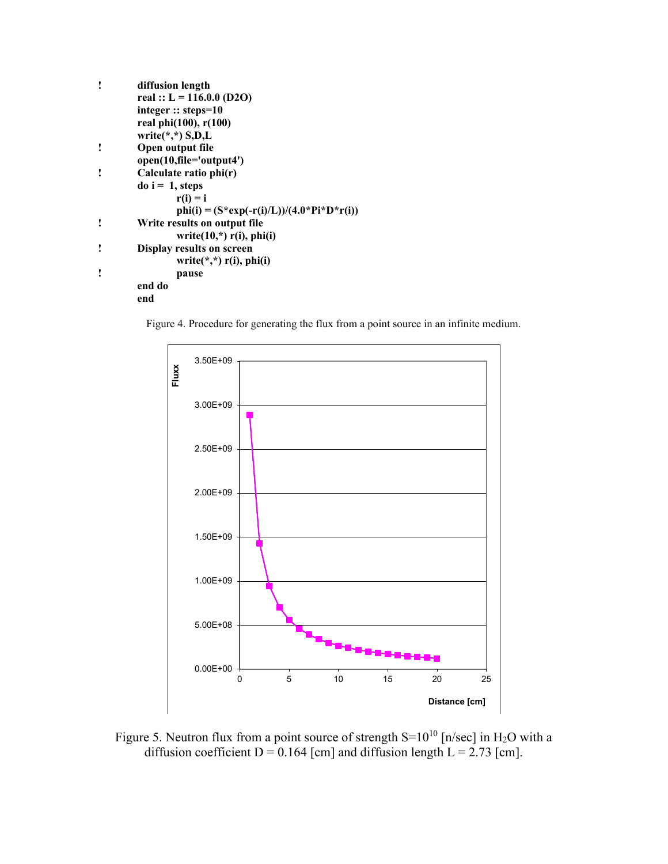| ı | diffusion length                            |  |
|---|---------------------------------------------|--|
|   | real :: $L = 116.0.0$ (D2O)                 |  |
|   | integer :: steps= $10$                      |  |
|   | real phi(100), r(100)                       |  |
|   | write $(*,*)$ S, D, L                       |  |
| ı | Open output file                            |  |
|   | open(10,file='output4')                     |  |
| ı | Calculate ratio phi(r)                      |  |
|   | $\text{do}$ i = 1, steps                    |  |
|   | $r(i) = i$                                  |  |
|   | phi(i) = $(S*exp(-r(i)/L))/(4.0*Pi*D*r(i))$ |  |
| ı | Write results on output file                |  |
|   | write $(10,*)$ r(i), phi(i)                 |  |
| ı | Display results on screen                   |  |
|   | write $(*,*)$ r(i), phi(i)                  |  |
| ı | pause                                       |  |
|   | end do                                      |  |
|   | end                                         |  |

Figure 4. Procedure for generating the flux from a point source in an infinite medium.



Figure 5. Neutron flux from a point source of strength  $S=10^{10}$  [n/sec] in H<sub>2</sub>O with a diffusion coefficient  $D = 0.164$  [cm] and diffusion length  $L = 2.73$  [cm].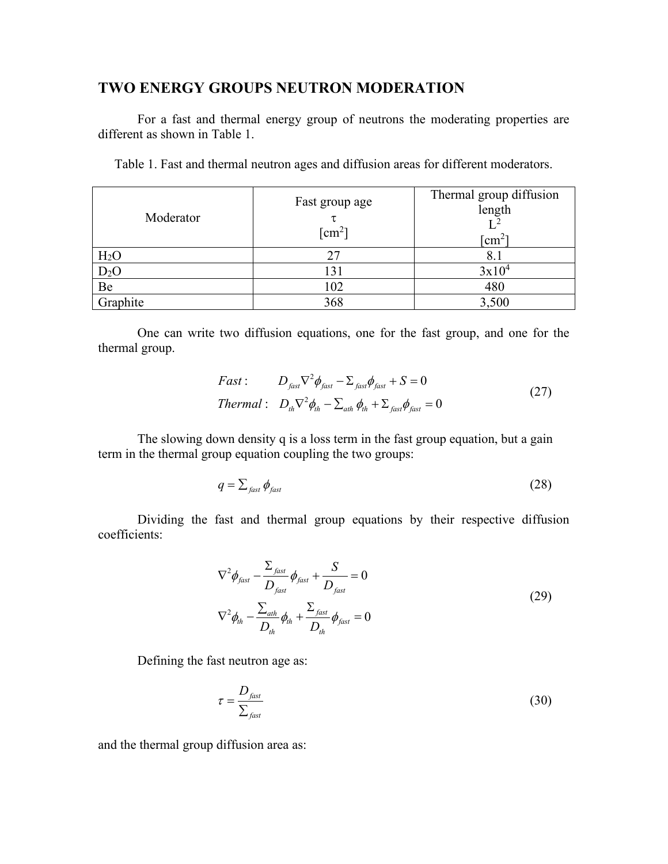### **TWO ENERGY GROUPS NEUTRON MODERATION**

For a fast and thermal energy group of neutrons the moderating properties are different as shown in Table 1.

Table 1. Fast and thermal neutron ages and diffusion areas for different moderators.

| Moderator        | Fast group age<br>$\lceil$ cm <sup>2</sup> $\rceil$ | Thermal group diffusion<br>length<br>$\rm cm^2$ |
|------------------|-----------------------------------------------------|-------------------------------------------------|
| H <sub>2</sub> O |                                                     | 8.1                                             |
| $D_2O$           | 131                                                 | $3x10^4$                                        |
| Be               | 102                                                 | 480                                             |
| Graphite         | 368                                                 | 3,500                                           |

One can write two diffusion equations, one for the fast group, and one for the thermal group.

$$
Fast: \tD_{fast} \nabla^2 \phi_{fast} - \Sigma_{fast} \phi_{fast} + S = 0
$$
  

$$
Thermal: \tD_{th} \nabla^2 \phi_{th} - \Sigma_{ath} \phi_{th} + \Sigma_{fast} \phi_{fast} = 0
$$
\t(27)

The slowing down density q is a loss term in the fast group equation, but a gain term in the thermal group equation coupling the two groups:

$$
q = \sum_{\text{fast}} \phi_{\text{fast}} \tag{28}
$$

Dividing the fast and thermal group equations by their respective diffusion coefficients:

$$
\nabla^2 \phi_{\text{fast}} - \frac{\Sigma_{\text{fast}}}{D_{\text{fast}}} \phi_{\text{fast}} + \frac{S}{D_{\text{fast}}} = 0
$$
  

$$
\nabla^2 \phi_{\text{th}} - \frac{\Sigma_{\text{ath}}}{D_{\text{th}}} \phi_{\text{th}} + \frac{\Sigma_{\text{fast}}}{D_{\text{th}}} \phi_{\text{fast}} = 0
$$
 (29)

Defining the fast neutron age as:

$$
\tau = \frac{D_{\text{fast}}}{\sum_{\text{fast}}} \tag{30}
$$

and the thermal group diffusion area as: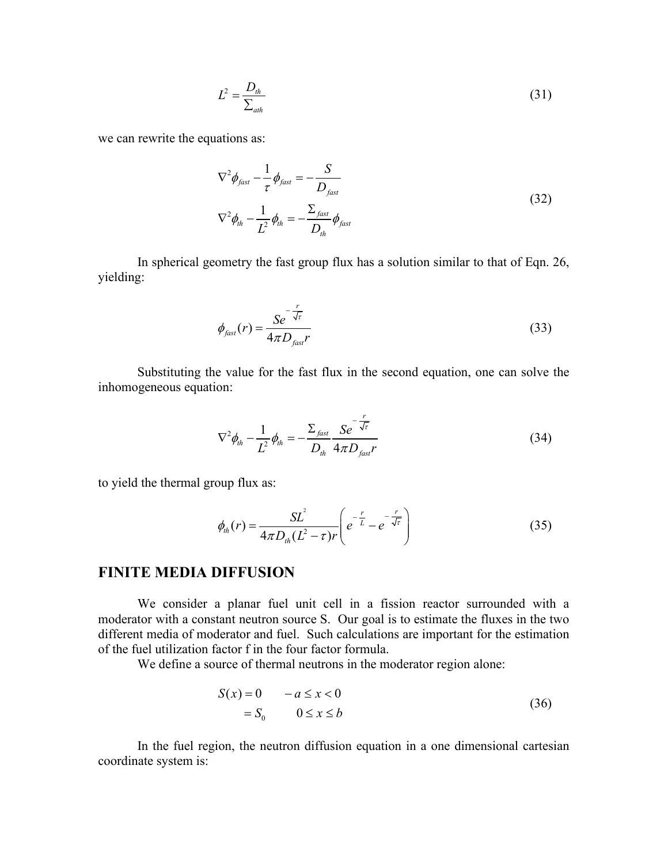$$
L^2 = \frac{D_{th}}{\sum_{ath}} \tag{31}
$$

we can rewrite the equations as:

$$
\nabla^2 \phi_{\text{fast}} - \frac{1}{\tau} \phi_{\text{fast}} = -\frac{S}{D_{\text{fast}}}
$$
  

$$
\nabla^2 \phi_{\text{th}} - \frac{1}{L^2} \phi_{\text{th}} = -\frac{\Sigma_{\text{fast}}}{D_{\text{th}}} \phi_{\text{fast}}
$$
 (32)

In spherical geometry the fast group flux has a solution similar to that of Eqn. 26, yielding:

$$
\phi_{\text{fast}}(r) = \frac{Se^{-\frac{r}{\sqrt{r}}}}{4\pi D_{\text{fast}}r}
$$
\n(33)

Substituting the value for the fast flux in the second equation, one can solve the inhomogeneous equation:

$$
\nabla^2 \phi_{th} - \frac{1}{L^2} \phi_{th} = -\frac{\sum_{\text{fast}} S e^{-\frac{r}{\sqrt{\tau}}}}{D_{th}} \frac{S e^{-\frac{r}{\sqrt{\tau}}}}{4 \pi D_{\text{fast}} r}
$$
(34)

to yield the thermal group flux as:

$$
\phi_{th}(r) = \frac{SL^2}{4\pi D_{th}(L^2 - \tau)r} \left( e^{-\frac{r}{L}} - e^{-\frac{r}{\sqrt{\tau}}} \right)
$$
(35)

### **FINITE MEDIA DIFFUSION**

We consider a planar fuel unit cell in a fission reactor surrounded with a moderator with a constant neutron source S. Our goal is to estimate the fluxes in the two different media of moderator and fuel. Such calculations are important for the estimation of the fuel utilization factor f in the four factor formula.

We define a source of thermal neutrons in the moderator region alone:

$$
S(x) = 0 \t -a \le x < 0
$$
  
= S<sub>0</sub> \t 0 \le x \le b \t(36)

In the fuel region, the neutron diffusion equation in a one dimensional cartesian coordinate system is: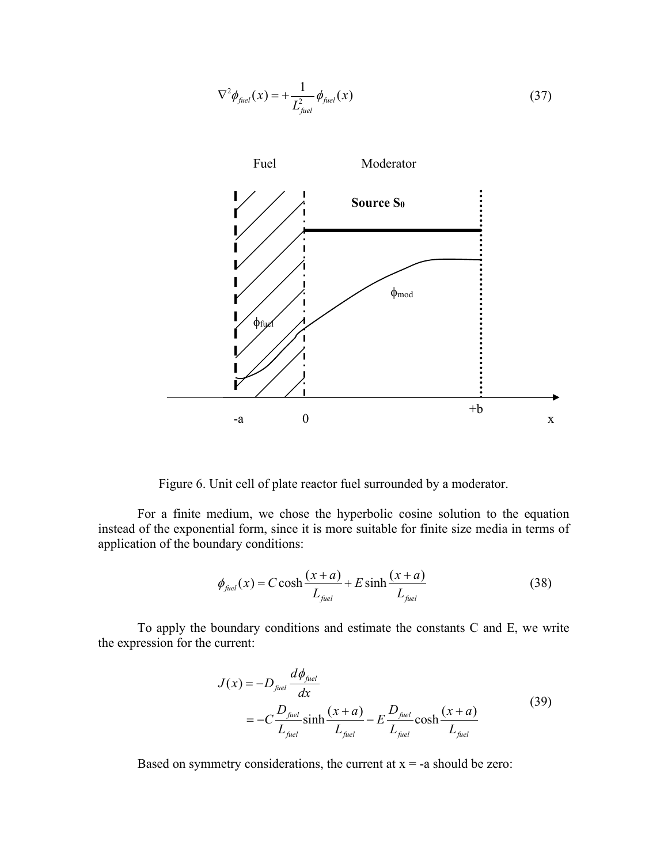$$
\nabla^2 \phi_{\text{fuel}}(x) = +\frac{1}{L_{\text{fuel}}^2} \phi_{\text{fuel}}(x) \tag{37}
$$



Figure 6. Unit cell of plate reactor fuel surrounded by a moderator.

For a finite medium, we chose the hyperbolic cosine solution to the equation instead of the exponential form, since it is more suitable for finite size media in terms of application of the boundary conditions:

$$
\phi_{\text{fuel}}(x) = C \cosh \frac{(x+a)}{L_{\text{fuel}}} + E \sinh \frac{(x+a)}{L_{\text{fuel}}}
$$
\n(38)

To apply the boundary conditions and estimate the constants C and E, we write the expression for the current:

$$
J(x) = -D_{\text{fuel}} \frac{d\phi_{\text{fuel}}}{dx}
$$
  
= 
$$
-C \frac{D_{\text{fuel}}}{L_{\text{fuel}}} \sinh \frac{(x+a)}{L_{\text{fuel}}} - E \frac{D_{\text{fuel}}}{L_{\text{fuel}}} \cosh \frac{(x+a)}{L_{\text{fuel}}}
$$
(39)

Based on symmetry considerations, the current at  $x = -a$  should be zero: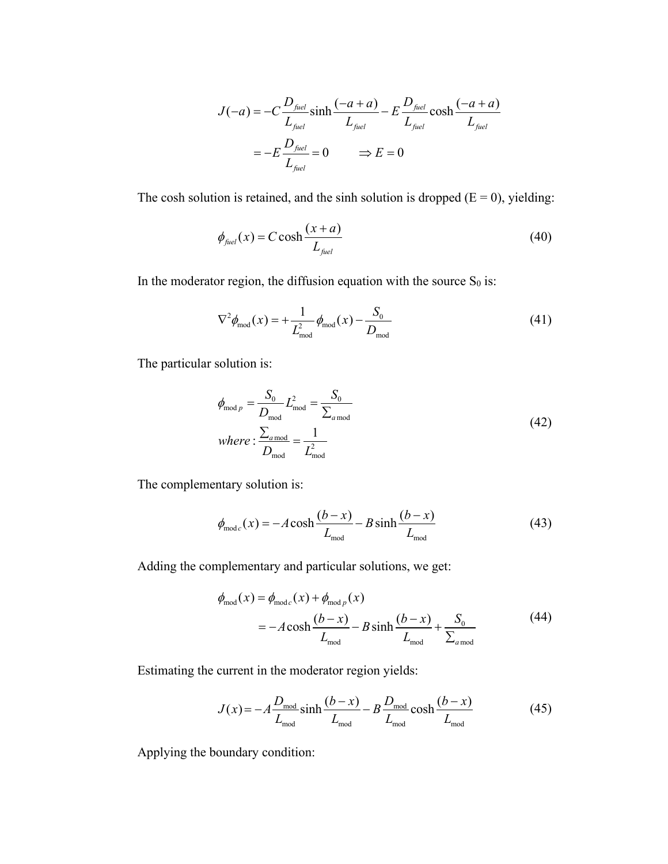$$
J(-a) = -C \frac{D_{\text{fuel}}}{L_{\text{fuel}}} \sinh \frac{(-a+a)}{L_{\text{fuel}}} - E \frac{D_{\text{fuel}}}{L_{\text{fuel}}} \cosh \frac{(-a+a)}{L_{\text{fuel}}}
$$

$$
= -E \frac{D_{\text{fuel}}}{L_{\text{fuel}}} = 0 \qquad \Rightarrow E = 0
$$

The cosh solution is retained, and the sinh solution is dropped  $(E = 0)$ , yielding:

$$
\phi_{\text{fuel}}(x) = C \cosh \frac{(x+a)}{L_{\text{fuel}}}
$$
\n(40)

In the moderator region, the diffusion equation with the source  $S_0$  is:

$$
\nabla^2 \phi_{\text{mod}}(x) = +\frac{1}{L_{\text{mod}}^2} \phi_{\text{mod}}(x) - \frac{S_0}{D_{\text{mod}}} \tag{41}
$$

The particular solution is:

$$
\phi_{\text{mod }p} = \frac{S_0}{D_{\text{mod}}} L_{\text{mod}}^2 = \frac{S_0}{\sum_{a \text{ mod}}} \nwhere: \frac{\sum_{a \text{ mod}}}{D_{\text{mod}}} = \frac{1}{L_{\text{mod}}^2}
$$
\n(42)

The complementary solution is:

$$
\phi_{\text{mod }c}(x) = -A \cosh \frac{(b-x)}{L_{\text{mod}}} - B \sinh \frac{(b-x)}{L_{\text{mod}}} \tag{43}
$$

Adding the complementary and particular solutions, we get:

$$
\phi_{\text{mod}}(x) = \phi_{\text{mod }c}(x) + \phi_{\text{mod }p}(x)
$$
  
=  $-A \cosh \frac{(b-x)}{L_{\text{mod}}} - B \sinh \frac{(b-x)}{L_{\text{mod}}} + \frac{S_0}{\sum_{a \text{mod}}} \tag{44}$ 

Estimating the current in the moderator region yields:

$$
J(x) = -A \frac{D_{\text{mod}}}{L_{\text{mod}}} \sinh \frac{(b-x)}{L_{\text{mod}}} - B \frac{D_{\text{mod}}}{L_{\text{mod}}} \cosh \frac{(b-x)}{L_{\text{mod}}} \tag{45}
$$

Applying the boundary condition: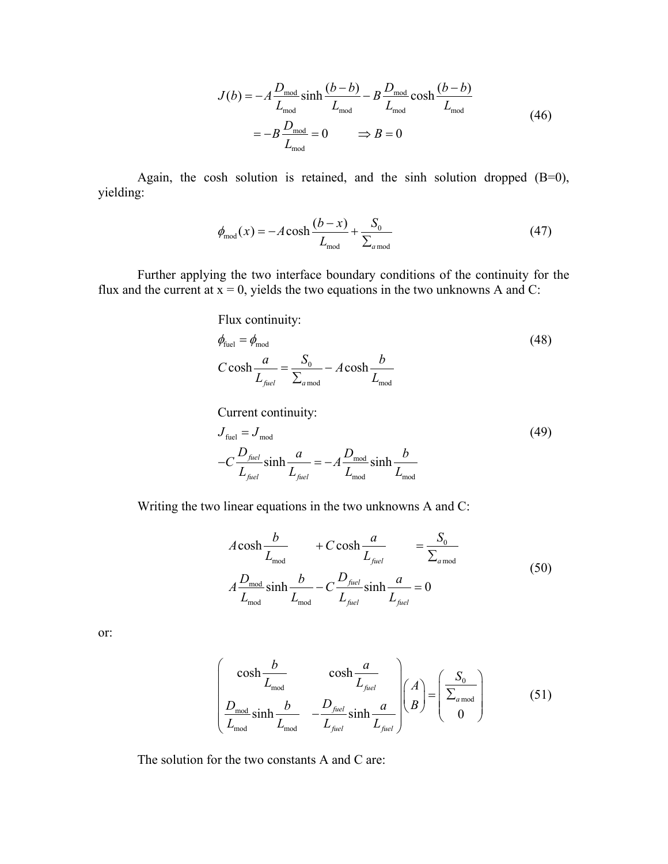$$
J(b) = -A \frac{D_{\text{mod}}}{L_{\text{mod}}} \sinh \frac{(b-b)}{L_{\text{mod}}} - B \frac{D_{\text{mod}}}{L_{\text{mod}}} \cosh \frac{(b-b)}{L_{\text{mod}}} \\
= -B \frac{D_{\text{mod}}}{L_{\text{mod}}} = 0 \qquad \Rightarrow B = 0
$$
\n(46)

Again, the cosh solution is retained, and the sinh solution dropped (B=0), yielding:

$$
\phi_{\text{mod}}(x) = -A \cosh \frac{(b-x)}{L_{\text{mod}}} + \frac{S_0}{\sum_{a \text{ mod}}} \tag{47}
$$

Further applying the two interface boundary conditions of the continuity for the flux and the current at  $x = 0$ , yields the two equations in the two unknowns A and C:

Flux continuity:

$$
\phi_{\text{fuel}} = \phi_{\text{mod}}
$$
\n
$$
C \cosh \frac{a}{L_{\text{fuel}}} = \frac{S_0}{\sum_{a \bmod}} - A \cosh \frac{b}{L_{\text{mod}}}
$$
\n(48)

Current continuity:

$$
J_{\text{fuel}} = J_{\text{mod}}
$$
  
-
$$
C \frac{D_{\text{fuel}}}{L_{\text{fuel}}} \sinh \frac{a}{L_{\text{fuel}}} = -A \frac{D_{\text{mod}}}{L_{\text{mod}}} \sinh \frac{b}{L_{\text{mod}}}
$$
 (49)

Writing the two linear equations in the two unknowns A and C:

$$
A \cosh \frac{b}{L_{\text{mod}}} + C \cosh \frac{a}{L_{\text{fuel}}} = \frac{S_0}{\sum_{a \text{ mod}}} A \frac{D_{\text{mod}}}{L_{\text{mod}}} \sinh \frac{b}{L_{\text{mod}}} - C \frac{D_{\text{fuel}}}{L_{\text{field}}} \sinh \frac{a}{L_{\text{fuel}}} = 0
$$
 (50)

or:

$$
\begin{pmatrix}\n\cosh \frac{b}{L_{\text{mod}}} & \cosh \frac{a}{L_{\text{field}}}\n\end{pmatrix}\n\begin{pmatrix}\nA \\
B\n\end{pmatrix} = \begin{pmatrix}\nS_0 \\
\Sigma_{\text{a mod}} \\
0\n\end{pmatrix}
$$
\n(51)

The solution for the two constants A and C are: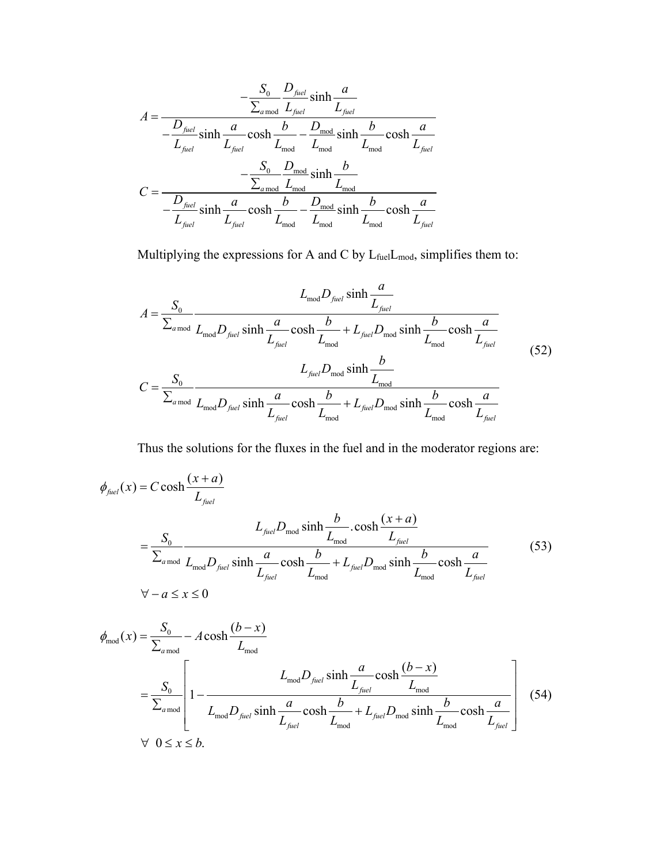$$
A = \frac{-\frac{S_0}{\sum_{a \text{ mod}}} \frac{D_{\text{fuel}}}{L_{\text{fuel}}} \sinh \frac{a}{L_{\text{fuel}}}}{-\frac{D_{\text{fuel}}}{L_{\text{fuel}}} \sinh \frac{a}{L_{\text{fuel}}} \cosh \frac{b}{L_{\text{mod}}} - \frac{D_{\text{mod}}}{L_{\text{mod}}} \sinh \frac{b}{L_{\text{mod}}} \cosh \frac{a}{L_{\text{fuel}}}} - \frac{S_0}{\sum_{a \text{ mod}} \sum_{\text{mod}} \sinh \frac{b}{L_{\text{mod}}}} - \frac{S_0}{\sum_{a \text{ mod}} \sum_{\text{mod}} \sinh \frac{b}{L_{\text{mod}}}} - \frac{D_{\text{mod}}}{L_{\text{mod}}} \sinh \frac{b}{L_{\text{mod}}} \cosh \frac{a}{L_{\text{fuel}}}}
$$

Multiplying the expressions for A and C by  $L_{\text{fuel}}L_{\text{mod}}$ , simplifies them to:

$$
A = \frac{S_0}{\sum_{a \text{ mod}}} \frac{L_{\text{mod}} D_{\text{fuel}} \sinh \frac{a}{L_{\text{field}}}}{L_{\text{model}} \sinh \frac{a}{L_{\text{field}}} \cosh \frac{b}{L_{\text{model}}} + L_{\text{field}} D_{\text{mod}} \sinh \frac{b}{L_{\text{model}}} \cosh \frac{a}{L_{\text{field}}}}
$$
\n
$$
C = \frac{S_0}{\sum_{a \text{ mod}}} \frac{L_{\text{field}} D_{\text{field}} \sinh \frac{b}{L_{\text{model}}}}{L_{\text{field}}} \frac{C_0 \sinh \frac{b}{L_{\text{model}}}}{L_{\text{model}}} \cos \frac{b}{L_{\text{field}}} + L_{\text{field}} D_{\text{model}} \sinh \frac{b}{L_{\text{model}}} \cosh \frac{a}{L_{\text{field}}}}
$$
\n(52)

Thus the solutions for the fluxes in the fuel and in the moderator regions are:

$$
\phi_{\text{fuel}}(x) = C \cosh \frac{(x+a)}{L_{\text{fuel}}}
$$
\n
$$
= \frac{S_0}{\sum_{a \text{ mod}}} \frac{L_{\text{fuel}} D_{\text{mod}} \sinh \frac{b}{L_{\text{mod}}} \cdot \cosh \frac{(x+a)}{L_{\text{fuel}}}}{\frac{a}{L_{\text{field}}} \cosh \frac{b}{L_{\text{fuel}}} + L_{\text{fuel}} D_{\text{mod}} \sinh \frac{b}{L_{\text{fuel}}}} \cosh \frac{a}{L_{\text{fuel}}}
$$
\n
$$
\forall -a \le x \le 0
$$
\n(53)

$$
\phi_{\text{mod}}(x) = \frac{S_0}{\sum_{a \text{mod}}} - A \cosh \frac{(b-x)}{L_{\text{mod}}}
$$
\n
$$
= \frac{S_0}{\sum_{a \text{mod}}} \left[ 1 - \frac{L_{\text{mod}} D_{\text{fuel}} \sinh \frac{a}{L_{\text{field}}} \cosh \frac{(b-x)}{L_{\text{mod}}}}{\frac{a}{L_{\text{field}}} \cosh \frac{b}{L_{\text{model}}} + L_{\text{fuel}} D_{\text{mod}} \sinh \frac{b}{L_{\text{mod}}}} \cosh \frac{a}{L_{\text{field}}}} \right] \tag{54}
$$
\n
$$
\forall \ 0 \le x \le b.
$$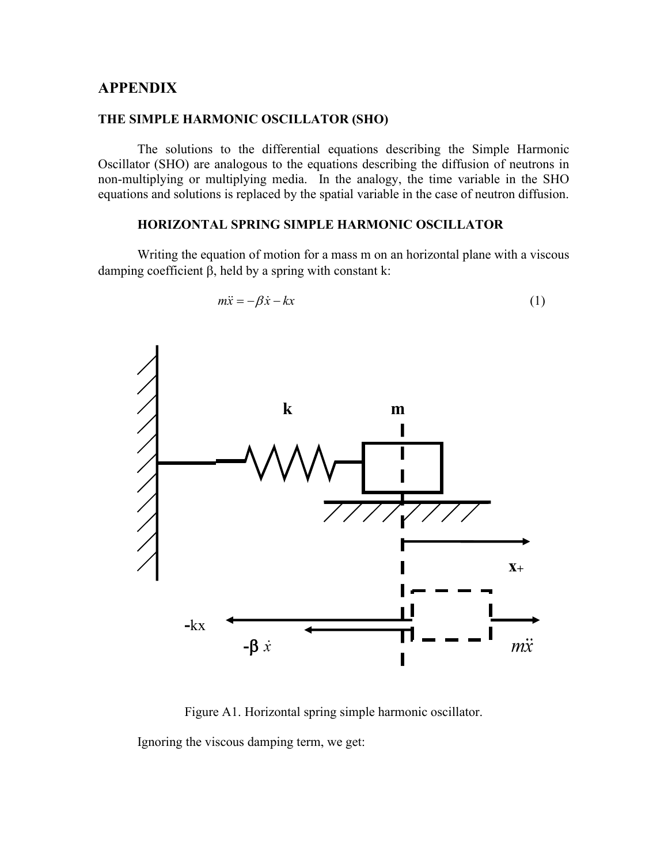#### **APPENDIX**

#### **THE SIMPLE HARMONIC OSCILLATOR (SHO)**

The solutions to the differential equations describing the Simple Harmonic Oscillator (SHO) are analogous to the equations describing the diffusion of neutrons in non-multiplying or multiplying media. In the analogy, the time variable in the SHO equations and solutions is replaced by the spatial variable in the case of neutron diffusion.

#### **HORIZONTAL SPRING SIMPLE HARMONIC OSCILLATOR**

Writing the equation of motion for a mass m on an horizontal plane with a viscous damping coefficient β, held by a spring with constant k:



$$
m\ddot{x} = -\beta \dot{x} - kx \tag{1}
$$

Figure A1. Horizontal spring simple harmonic oscillator.

Ignoring the viscous damping term, we get: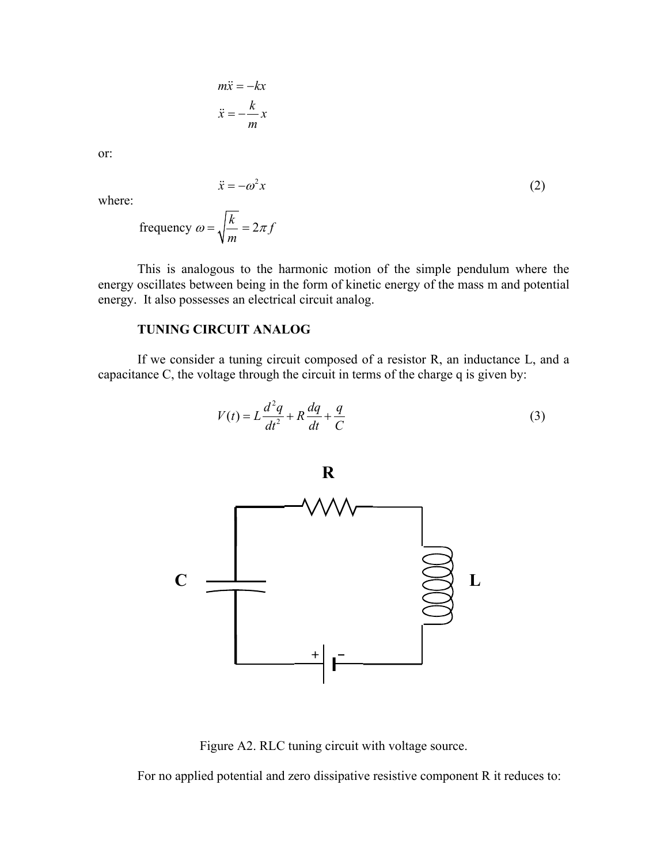$$
m\ddot{x} = -kx
$$

$$
\ddot{x} = -\frac{k}{m}x
$$

or:

$$
\ddot{x} = -\omega^2 x \tag{2}
$$

where:

frequency 
$$
\omega = \sqrt{\frac{k}{m}} = 2\pi f
$$

This is analogous to the harmonic motion of the simple pendulum where the energy oscillates between being in the form of kinetic energy of the mass m and potential energy. It also possesses an electrical circuit analog.

#### **TUNING CIRCUIT ANALOG**

If we consider a tuning circuit composed of a resistor R, an inductance L, and a capacitance C, the voltage through the circuit in terms of the charge q is given by:

$$
V(t) = L\frac{d^2q}{dt^2} + R\frac{dq}{dt} + \frac{q}{C}
$$
 (3)



Figure A2. RLC tuning circuit with voltage source.

For no applied potential and zero dissipative resistive component R it reduces to: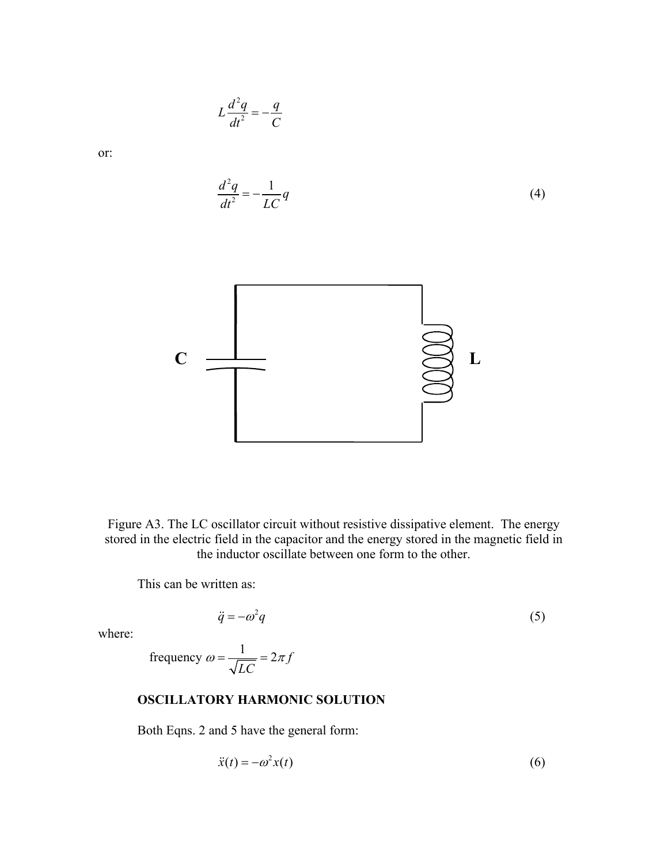

Figure A3. The LC oscillator circuit without resistive dissipative element. The energy stored in the electric field in the capacitor and the energy stored in the magnetic field in the inductor oscillate between one form to the other.

This can be written as:

$$
\ddot{q} = -\omega^2 q \tag{5}
$$

where:

frequency 
$$
\omega = \frac{1}{\sqrt{LC}} = 2\pi f
$$

2  $L\frac{d^2q}{dt^2} = -\frac{q}{C}$ 

#### **OSCILLATORY HARMONIC SOLUTION**

Both Eqns. 2 and 5 have the general form:

$$
\ddot{x}(t) = -\omega^2 x(t) \tag{6}
$$

or: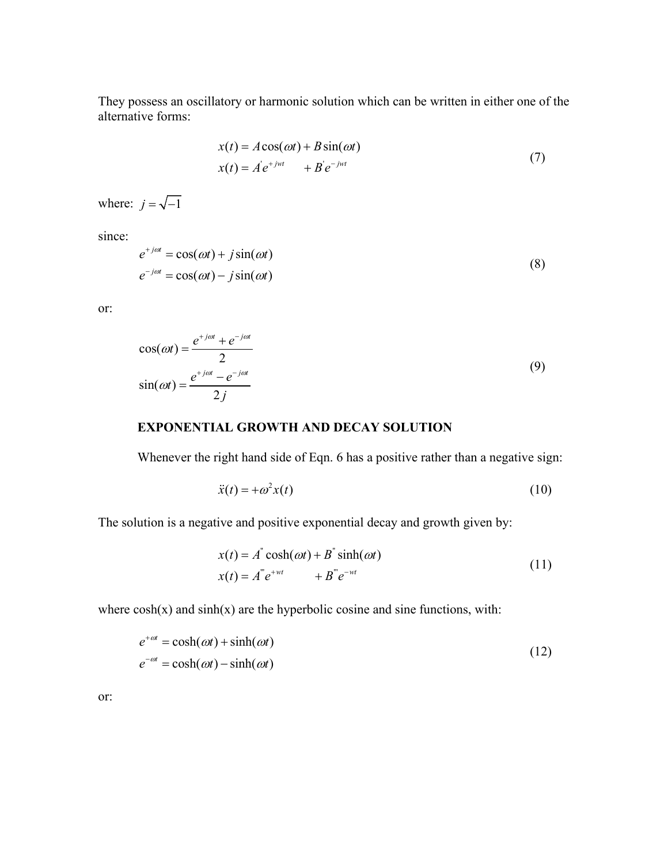They possess an oscillatory or harmonic solution which can be written in either one of the alternative forms:

$$
x(t) = A\cos(\omega t) + B\sin(\omega t)
$$
  
\n
$$
x(t) = A' e^{+jwt} + B' e^{-jwt}
$$
\n(7)

where:  $j = \sqrt{-1}$ 

since:

$$
e^{+j\omega t} = \cos(\omega t) + j\sin(\omega t)
$$
  
\n
$$
e^{-j\omega t} = \cos(\omega t) - j\sin(\omega t)
$$
\n(8)

or:

$$
\cos(\omega t) = \frac{e^{+j\omega t} + e^{-j\omega t}}{2}
$$
  
\n
$$
\sin(\omega t) = \frac{e^{+j\omega t} - e^{-j\omega t}}{2j}
$$
\n(9)

### **EXPONENTIAL GROWTH AND DECAY SOLUTION**

Whenever the right hand side of Eqn. 6 has a positive rather than a negative sign:

$$
\ddot{x}(t) = +\omega^2 x(t) \tag{10}
$$

The solution is a negative and positive exponential decay and growth given by:

$$
x(t) = A^{\dagger} \cosh(\omega t) + B^{\dagger} \sinh(\omega t)
$$
  

$$
x(t) = A^{\dagger} e^{+wt} + B^{\dagger} e^{-wt}
$$
 (11)

where  $cosh(x)$  and  $sinh(x)$  are the hyperbolic cosine and sine functions, with:

$$
e^{+\omega t} = \cosh(\omega t) + \sinh(\omega t)
$$
  
\n
$$
e^{-\omega t} = \cosh(\omega t) - \sinh(\omega t)
$$
\n(12)

or: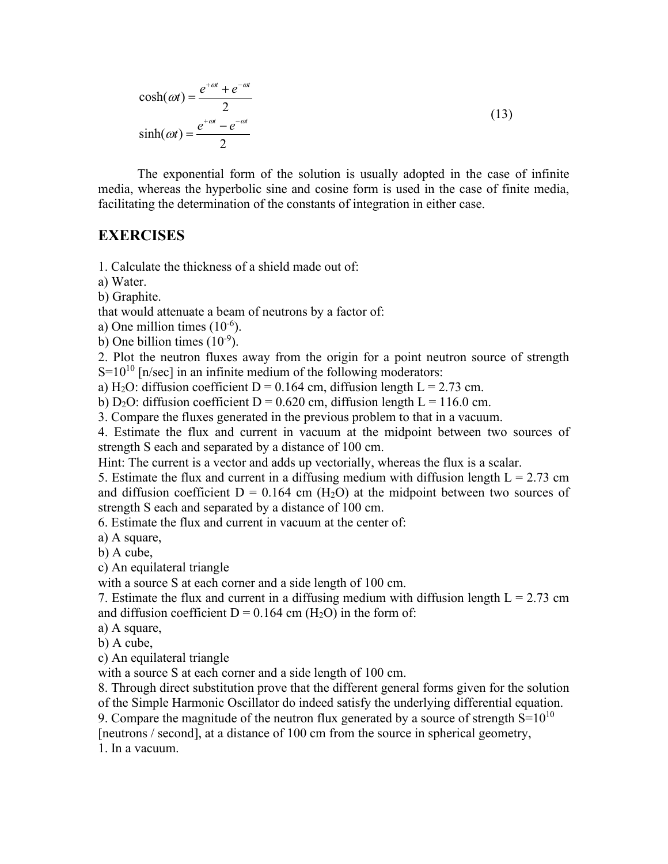$$
\cosh(\omega t) = \frac{e^{+\omega t} + e^{-\omega t}}{2}
$$
  
\n
$$
\sinh(\omega t) = \frac{e^{+\omega t} - e^{-\omega t}}{2}
$$
\n(13)

The exponential form of the solution is usually adopted in the case of infinite media, whereas the hyperbolic sine and cosine form is used in the case of finite media, facilitating the determination of the constants of integration in either case.

### **EXERCISES**

1. Calculate the thickness of a shield made out of:

a) Water.

b) Graphite.

that would attenuate a beam of neutrons by a factor of:

a) One million times  $(10^{-6})$ .

b) One billion times  $(10^{-9})$ .

2. Plot the neutron fluxes away from the origin for a point neutron source of strength  $S=10^{10}$  [n/sec] in an infinite medium of the following moderators:

a) H<sub>2</sub>O: diffusion coefficient D = 0.164 cm, diffusion length L = 2.73 cm.

b) D<sub>2</sub>O: diffusion coefficient D = 0.620 cm, diffusion length L = 116.0 cm.

3. Compare the fluxes generated in the previous problem to that in a vacuum.

4. Estimate the flux and current in vacuum at the midpoint between two sources of strength S each and separated by a distance of 100 cm.

Hint: The current is a vector and adds up vectorially, whereas the flux is a scalar.

5. Estimate the flux and current in a diffusing medium with diffusion length  $L = 2.73$  cm and diffusion coefficient  $D = 0.164$  cm (H<sub>2</sub>O) at the midpoint between two sources of strength S each and separated by a distance of 100 cm.

6. Estimate the flux and current in vacuum at the center of:

a) A square,

b) A cube,

c) An equilateral triangle

with a source S at each corner and a side length of 100 cm.

7. Estimate the flux and current in a diffusing medium with diffusion length  $L = 2.73$  cm and diffusion coefficient  $D = 0.164$  cm (H<sub>2</sub>O) in the form of:

a) A square,

b) A cube,

c) An equilateral triangle

with a source S at each corner and a side length of 100 cm.

8. Through direct substitution prove that the different general forms given for the solution of the Simple Harmonic Oscillator do indeed satisfy the underlying differential equation.

9. Compare the magnitude of the neutron flux generated by a source of strength  $S=10^{10}$ 

[neutrons / second], at a distance of 100 cm from the source in spherical geometry,

1. In a vacuum.